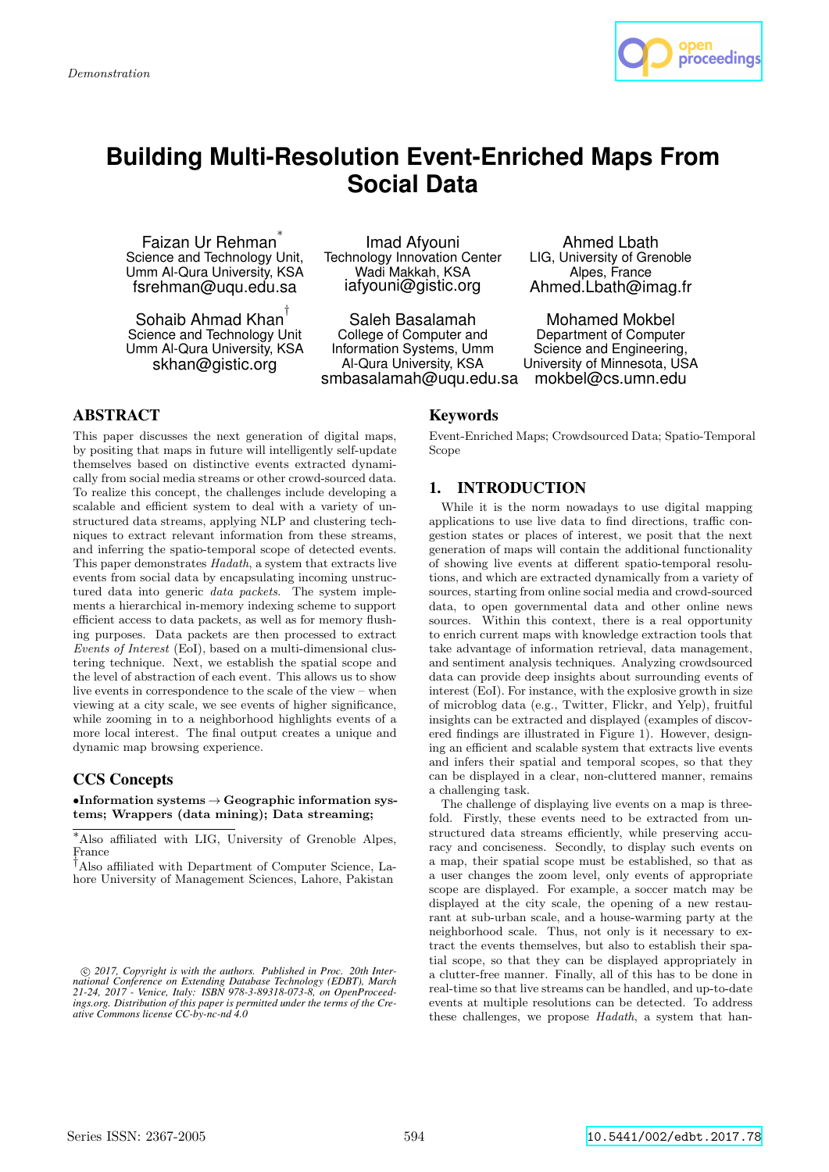

# **Building Multi-Resolution Event-Enriched Maps From Social Data**

Faizan Ur Rehman<sup>\*</sup> Science and Technology Unit, Umm Al-Qura University, KSA fsrehman@uqu.edu.sa

Sohaib Ahmad Khan † Science and Technology Unit Umm Al-Qura University, KSA skhan@gistic.org

Imad Afyouni Technology Innovation Center Wadi Makkah, KSA iafyouni@gistic.org

Saleh Basalamah College of Computer and Information Systems, Umm Al-Qura University, KSA smbasalamah@uqu.edu.sa

Ahmed Lbath LIG, University of Grenoble Alpes, France Ahmed.Lbath@imag.fr

Mohamed Mokbel Department of Computer Science and Engineering, University of Minnesota, USA mokbel@cs.umn.edu

## ABSTRACT

This paper discusses the next generation of digital maps, by positing that maps in future will intelligently self-update themselves based on distinctive events extracted dynamically from social media streams or other crowd-sourced data. To realize this concept, the challenges include developing a scalable and efficient system to deal with a variety of unstructured data streams, applying NLP and clustering techniques to extract relevant information from these streams, and inferring the spatio-temporal scope of detected events. This paper demonstrates *Hadath*, a system that extracts live events from social data by encapsulating incoming unstructured data into generic *data packets*. The system implements a hierarchical in-memory indexing scheme to support efficient access to data packets, as well as for memory flushing purposes. Data packets are then processed to extract *Events of Interest* (EoI), based on a multi-dimensional clustering technique. Next, we establish the spatial scope and the level of abstraction of each event. This allows us to show live events in correspondence to the scale of the view – when viewing at a city scale, we see events of higher significance, while zooming in to a neighborhood highlights events of a more local interest. The final output creates a unique and dynamic map browsing experience.

## CCS Concepts

 $\bullet$ Information systems  $\rightarrow$  Geographic information systems; Wrappers (data mining); Data streaming;

© 2017, Copyright is with the authors. Published in Proc. 20th International Conference on Extending Database Technology (EDBT), March<br>21-24, 2017 - Venice, Italy: ISBN 978-3-89318-073-8, on OpenProceed*ings.org. Distribution of this paper is permitted under the terms of the Cre-ative Commons license CC-by-nc-nd 4.0*

## Keywords

Event-Enriched Maps; Crowdsourced Data; Spatio-Temporal Scope

## 1. INTRODUCTION

While it is the norm nowadays to use digital mapping applications to use live data to find directions, traffic congestion states or places of interest, we posit that the next generation of maps will contain the additional functionality of showing live events at different spatio-temporal resolutions, and which are extracted dynamically from a variety of sources, starting from online social media and crowd-sourced data, to open governmental data and other online news sources. Within this context, there is a real opportunity to enrich current maps with knowledge extraction tools that take advantage of information retrieval, data management, and sentiment analysis techniques. Analyzing crowdsourced data can provide deep insights about surrounding events of interest (EoI). For instance, with the explosive growth in size of microblog data (e.g., Twitter, Flickr, and Yelp), fruitful insights can be extracted and displayed (examples of discovered findings are illustrated in Figure 1). However, designing an efficient and scalable system that extracts live events and infers their spatial and temporal scopes, so that they can be displayed in a clear, non-cluttered manner, remains a challenging task.

The challenge of displaying live events on a map is threefold. Firstly, these events need to be extracted from unstructured data streams efficiently, while preserving accuracy and conciseness. Secondly, to display such events on a map, their spatial scope must be established, so that as a user changes the zoom level, only events of appropriate scope are displayed. For example, a soccer match may be displayed at the city scale, the opening of a new restaurant at sub-urban scale, and a house-warming party at the neighborhood scale. Thus, not only is it necessary to extract the events themselves, but also to establish their spatial scope, so that they can be displayed appropriately in a clutter-free manner. Finally, all of this has to be done in real-time so that live streams can be handled, and up-to-date events at multiple resolutions can be detected. To address these challenges, we propose *Hadath*, a system that han-

<sup>∗</sup>Also affiliated with LIG, University of Grenoble Alpes, France

<sup>†</sup>Also affiliated with Department of Computer Science, Lahore University of Management Sciences, Lahore, Pakistan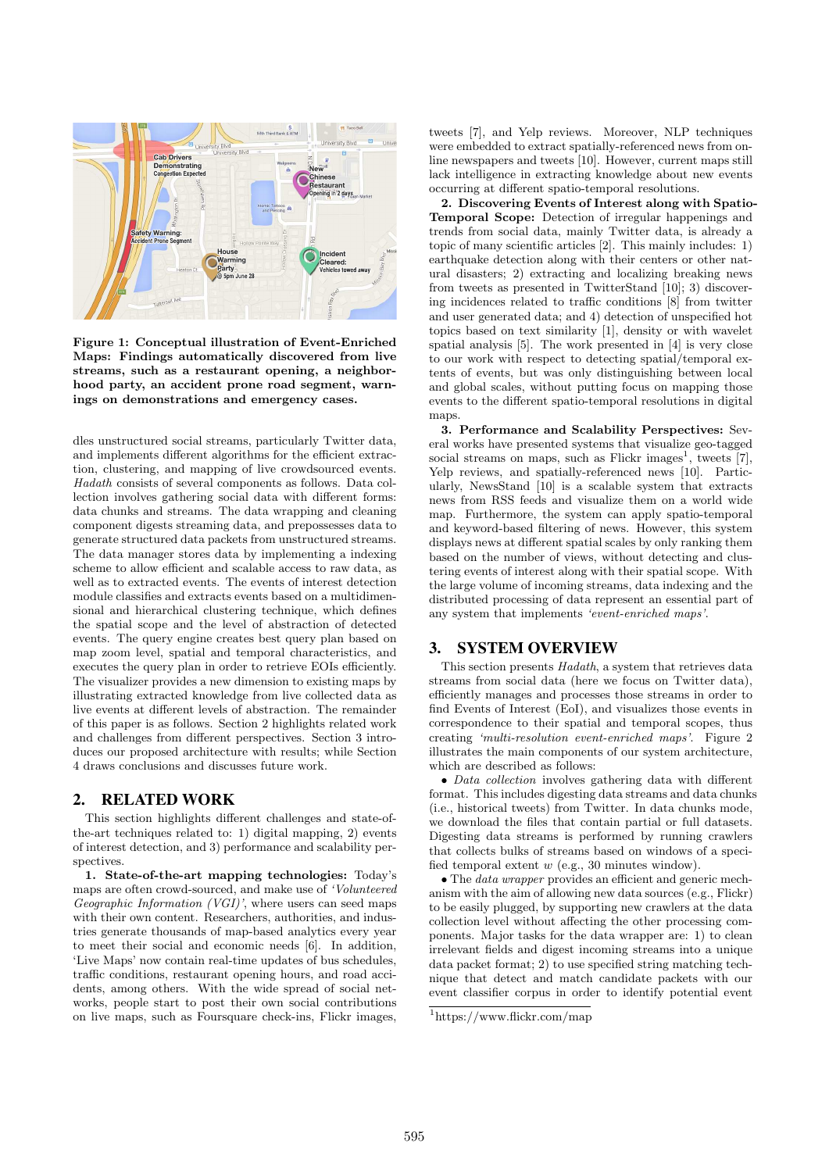

Figure 1: Conceptual illustration of Event-Enriched Maps: Findings automatically discovered from live streams, such as a restaurant opening, a neighborhood party, an accident prone road segment, warnings on demonstrations and emergency cases.

dles unstructured social streams, particularly Twitter data, and implements different algorithms for the efficient extraction, clustering, and mapping of live crowdsourced events. *Hadath* consists of several components as follows. Data collection involves gathering social data with different forms: data chunks and streams. The data wrapping and cleaning component digests streaming data, and prepossesses data to generate structured data packets from unstructured streams. The data manager stores data by implementing a indexing scheme to allow efficient and scalable access to raw data, as well as to extracted events. The events of interest detection module classifies and extracts events based on a multidimensional and hierarchical clustering technique, which defines the spatial scope and the level of abstraction of detected events. The query engine creates best query plan based on map zoom level, spatial and temporal characteristics, and executes the query plan in order to retrieve EOIs efficiently. The visualizer provides a new dimension to existing maps by illustrating extracted knowledge from live collected data as live events at different levels of abstraction. The remainder of this paper is as follows. Section 2 highlights related work and challenges from different perspectives. Section 3 introduces our proposed architecture with results; while Section 4 draws conclusions and discusses future work.

#### 2. RELATED WORK

This section highlights different challenges and state-ofthe-art techniques related to: 1) digital mapping, 2) events of interest detection, and 3) performance and scalability perspectives.

1. State-of-the-art mapping technologies: Today's maps are often crowd-sourced, and make use of *'Volunteered Geographic Information (VGI)'*, where users can seed maps with their own content. Researchers, authorities, and industries generate thousands of map-based analytics every year to meet their social and economic needs [6]. In addition, 'Live Maps' now contain real-time updates of bus schedules, traffic conditions, restaurant opening hours, and road accidents, among others. With the wide spread of social networks, people start to post their own social contributions on live maps, such as Foursquare check-ins, Flickr images, tweets [7], and Yelp reviews. Moreover, NLP techniques were embedded to extract spatially-referenced news from online newspapers and tweets [10]. However, current maps still lack intelligence in extracting knowledge about new events occurring at different spatio-temporal resolutions.

2. Discovering Events of Interest along with Spatio-Temporal Scope: Detection of irregular happenings and trends from social data, mainly Twitter data, is already a topic of many scientific articles [2]. This mainly includes: 1) earthquake detection along with their centers or other natural disasters; 2) extracting and localizing breaking news from tweets as presented in TwitterStand [10]; 3) discovering incidences related to traffic conditions [8] from twitter and user generated data; and 4) detection of unspecified hot topics based on text similarity [1], density or with wavelet spatial analysis [5]. The work presented in [4] is very close to our work with respect to detecting spatial/temporal extents of events, but was only distinguishing between local and global scales, without putting focus on mapping those events to the different spatio-temporal resolutions in digital maps.

3. Performance and Scalability Perspectives: Several works have presented systems that visualize geo-tagged social streams on maps, such as Flickr images<sup>1</sup>, tweets  $[7]$ , Yelp reviews, and spatially-referenced news [10]. Particularly, NewsStand [10] is a scalable system that extracts news from RSS feeds and visualize them on a world wide map. Furthermore, the system can apply spatio-temporal and keyword-based filtering of news. However, this system displays news at different spatial scales by only ranking them based on the number of views, without detecting and clustering events of interest along with their spatial scope. With the large volume of incoming streams, data indexing and the distributed processing of data represent an essential part of any system that implements *'event-enriched maps'*.

#### 3. SYSTEM OVERVIEW

This section presents *Hadath*, a system that retrieves data streams from social data (here we focus on Twitter data), efficiently manages and processes those streams in order to find Events of Interest (EoI), and visualizes those events in correspondence to their spatial and temporal scopes, thus creating *'multi-resolution event-enriched maps'*. Figure 2 illustrates the main components of our system architecture, which are described as follows:

• *Data collection* involves gathering data with different format. This includes digesting data streams and data chunks (i.e., historical tweets) from Twitter. In data chunks mode, we download the files that contain partial or full datasets. Digesting data streams is performed by running crawlers that collects bulks of streams based on windows of a specified temporal extent  $w$  (e.g., 30 minutes window).

• The *data wrapper* provides an efficient and generic mechanism with the aim of allowing new data sources (e.g., Flickr) to be easily plugged, by supporting new crawlers at the data collection level without affecting the other processing components. Major tasks for the data wrapper are: 1) to clean irrelevant fields and digest incoming streams into a unique data packet format; 2) to use specified string matching technique that detect and match candidate packets with our event classifier corpus in order to identify potential event

<sup>1</sup>https://www.flickr.com/map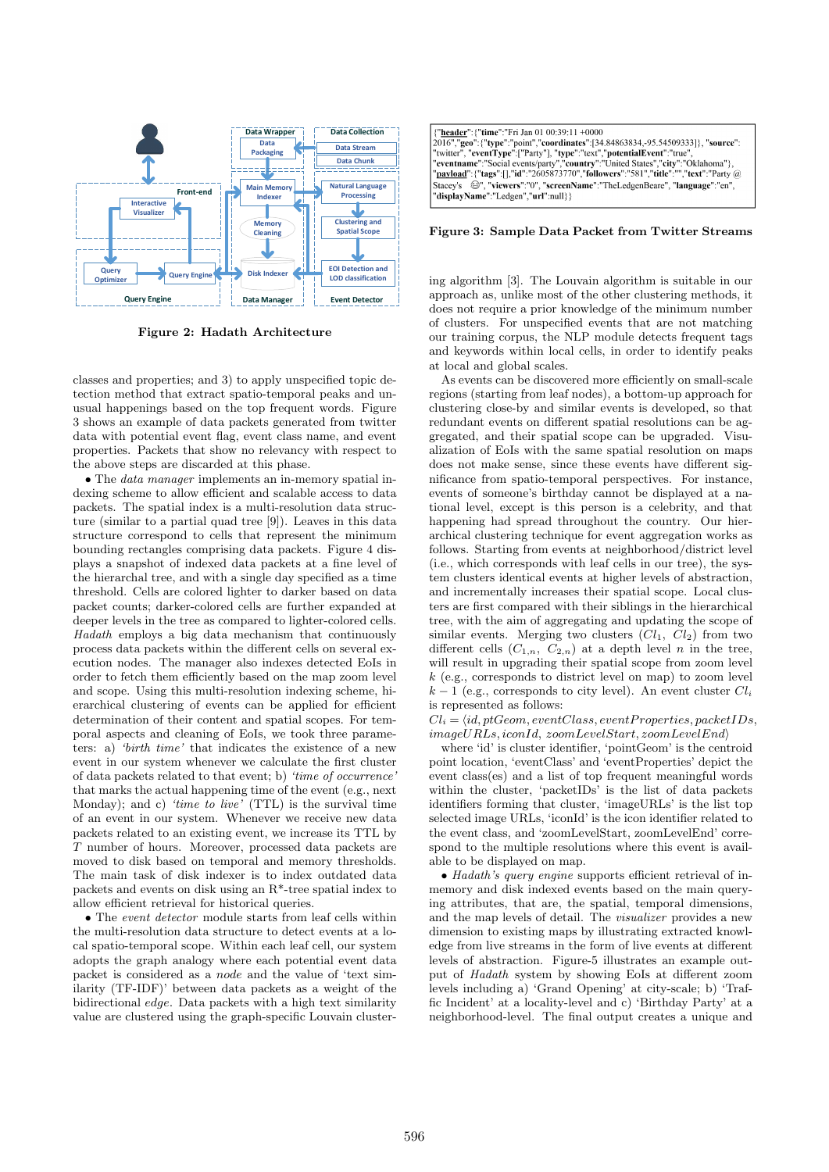

Figure 2: Hadath Architecture

classes and properties; and 3) to apply unspecified topic detection method that extract spatio-temporal peaks and unusual happenings based on the top frequent words. Figure 3 shows an example of data packets generated from twitter data with potential event flag, event class name, and event properties. Packets that show no relevancy with respect to the above steps are discarded at this phase.

• The *data manager* implements an in-memory spatial indexing scheme to allow efficient and scalable access to data packets. The spatial index is a multi-resolution data structure (similar to a partial quad tree [9]). Leaves in this data structure correspond to cells that represent the minimum bounding rectangles comprising data packets. Figure 4 displays a snapshot of indexed data packets at a fine level of the hierarchal tree, and with a single day specified as a time threshold. Cells are colored lighter to darker based on data packet counts; darker-colored cells are further expanded at deeper levels in the tree as compared to lighter-colored cells. *Hadath* employs a big data mechanism that continuously process data packets within the different cells on several execution nodes. The manager also indexes detected EoIs in order to fetch them efficiently based on the map zoom level and scope. Using this multi-resolution indexing scheme, hierarchical clustering of events can be applied for efficient determination of their content and spatial scopes. For temporal aspects and cleaning of EoIs, we took three parameters: a) *'birth time'* that indicates the existence of a new event in our system whenever we calculate the first cluster of data packets related to that event; b) *'time of occurrence'* that marks the actual happening time of the event (e.g., next Monday); and c) *'time to live'* (TTL) is the survival time of an event in our system. Whenever we receive new data packets related to an existing event, we increase its TTL by T number of hours. Moreover, processed data packets are moved to disk based on temporal and memory thresholds. The main task of disk indexer is to index outdated data packets and events on disk using an R\*-tree spatial index to allow efficient retrieval for historical queries.

• The *event detector* module starts from leaf cells within the multi-resolution data structure to detect events at a local spatio-temporal scope. Within each leaf cell, our system adopts the graph analogy where each potential event data packet is considered as a node and the value of 'text similarity (TF-IDF)' between data packets as a weight of the bidirectional edge. Data packets with a high text similarity value are clustered using the graph-specific Louvain cluster-

| {"header": {"time":"Fri Jan 01 00:39:11 +0000                                              |
|--------------------------------------------------------------------------------------------|
| [2016","geo": {"type":"point","coordinates": [34.84863834, -95.54509333]}, "source":       |
| "twitter", "eventType":["Party"], "type":"text","potentialEvent":"true",                   |
| "eventname":"Social events/party","country":"United States","city":"Oklahoma"},            |
| "payload": {"tags": [],"id":"2605873770","followers":"581","title":"","text":"Party @      |
| Stacey's $\mathfrak{S}'$ ", "viewers":"0", "screenName":"TheLedgenBeare", "language":"en", |
| "displayName":"Ledgen"."url":null}}                                                        |
|                                                                                            |

Figure 3: Sample Data Packet from Twitter Streams

ing algorithm [3]. The Louvain algorithm is suitable in our approach as, unlike most of the other clustering methods, it does not require a prior knowledge of the minimum number of clusters. For unspecified events that are not matching our training corpus, the NLP module detects frequent tags and keywords within local cells, in order to identify peaks at local and global scales.

As events can be discovered more efficiently on small-scale regions (starting from leaf nodes), a bottom-up approach for clustering close-by and similar events is developed, so that redundant events on different spatial resolutions can be aggregated, and their spatial scope can be upgraded. Visualization of EoIs with the same spatial resolution on maps does not make sense, since these events have different significance from spatio-temporal perspectives. For instance, events of someone's birthday cannot be displayed at a national level, except is this person is a celebrity, and that happening had spread throughout the country. Our hierarchical clustering technique for event aggregation works as follows. Starting from events at neighborhood/district level (i.e., which corresponds with leaf cells in our tree), the system clusters identical events at higher levels of abstraction, and incrementally increases their spatial scope. Local clusters are first compared with their siblings in the hierarchical tree, with the aim of aggregating and updating the scope of similar events. Merging two clusters  $(Cl_1, Cl_2)$  from two different cells  $(C_{1,n}, C_{2,n})$  at a depth level n in the tree, will result in upgrading their spatial scope from zoom level k (e.g., corresponds to district level on map) to zoom level  $k-1$  (e.g., corresponds to city level). An event cluster  $Cl_i$ is represented as follows:

 $Cl_i = \langle id, \textit{ptGeom}, \textit{eventClass}, \textit{eventProperties}, \textit{packetIDs} \rangle$  $image URLs, iconId, zoomLevelStart, zoomLevelEnd$ 

where 'id' is cluster identifier, 'pointGeom' is the centroid point location, 'eventClass' and 'eventProperties' depict the event class(es) and a list of top frequent meaningful words within the cluster, 'packetIDs' is the list of data packets identifiers forming that cluster, 'imageURLs' is the list top selected image URLs, 'iconId' is the icon identifier related to the event class, and 'zoomLevelStart, zoomLevelEnd' correspond to the multiple resolutions where this event is available to be displayed on map.

• *Hadath's query engine* supports efficient retrieval of inmemory and disk indexed events based on the main querying attributes, that are, the spatial, temporal dimensions, and the map levels of detail. The *visualizer* provides a new dimension to existing maps by illustrating extracted knowledge from live streams in the form of live events at different levels of abstraction. Figure-5 illustrates an example output of *Hadath* system by showing EoIs at different zoom levels including a) 'Grand Opening' at city-scale; b) 'Traffic Incident' at a locality-level and c) 'Birthday Party' at a neighborhood-level. The final output creates a unique and